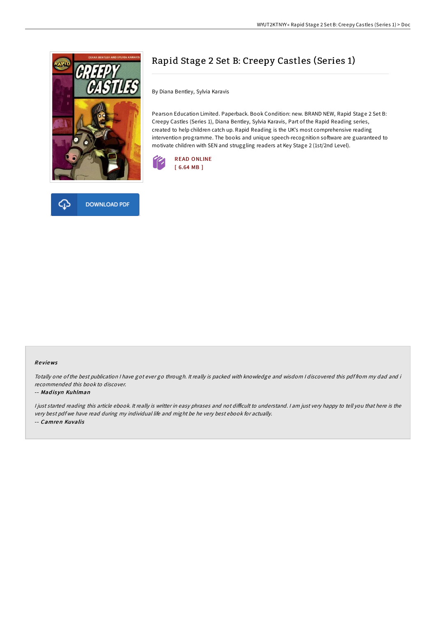

# Rapid Stage 2 Set B: Creepy Castles (Series 1)

By Diana Bentley, Sylvia Karavis

Pearson Education Limited. Paperback. Book Condition: new. BRAND NEW, Rapid Stage 2 Set B: Creepy Castles (Series 1), Diana Bentley, Sylvia Karavis, Part of the Rapid Reading series, created to help children catch up. Rapid Reading is the UK's most comprehensive reading intervention programme. The books and unique speech-recognition software are guaranteed to motivate children with SEN and struggling readers at Key Stage 2 (1st/2nd Level).





#### Re views

Totally one of the best publication <sup>I</sup> have got ever go through. It really is packed with knowledge and wisdom <sup>I</sup> discovered this pdf from my dad and i recommended this book to discover.

#### -- Mad is yn Kuhlman

I just started reading this article ebook. It really is writter in easy phrases and not difficult to understand. I am just very happy to tell you that here is the very best pdf we have read during my individual life and might be he very best ebook for actually. -- Camren Kuvalis